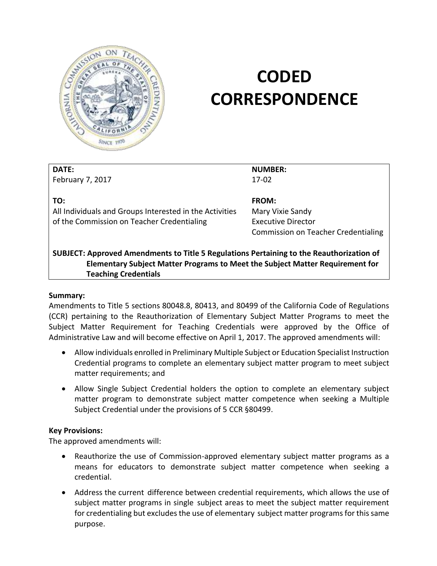

# **CODED CORRESPONDENCE**

#### **DATE:**

February 7, 2017

**TO:** 

All Individuals and Groups Interested in the Activities of the Commission on Teacher Credentialing

**NUMBER:**  17-02

 Commission on Teacher Credentialing **FROM:**  Mary Vixie Sandy Executive Director

## **SUBJECT: Approved Amendments to Title 5 Regulations Pertaining to the Reauthorization of Elementary Subject Matter Programs to Meet the Subject Matter Requirement for Teaching Credentials**

## **Summary:**

 Amendments to Title 5 sections 80048.8, 80413, and 80499 of the California Code of Regulations (CCR) pertaining to the Reauthorization of Elementary Subject Matter Programs to meet the Subject Matter Requirement for Teaching Credentials were approved by the Office of Administrative Law and will become effective on April 1, 2017. The approved amendments will:

- Allow individuals enrolled in Preliminary Multiple Subject or Education Specialist Instruction Credential programs to complete an elementary subject matter program to meet subject matter requirements; and
- Allow Single Subject Credential holders the option to complete an elementary subject matter program to demonstrate subject matter competence when seeking a Multiple Subject Credential under the provisions of 5 CCR §80499.

## **Key Provisions:**

The approved amendments will:

- means for educators to demonstrate subject matter competence when seeking a credential. Reauthorize the use of Commission-approved elementary subject matter programs as a
- Address the current difference between credential requirements, which allows the use of subject matter programs in single subject areas to meet the subject matter requirement for credentialing but excludes the use of elementary subject matter programs for this same purpose.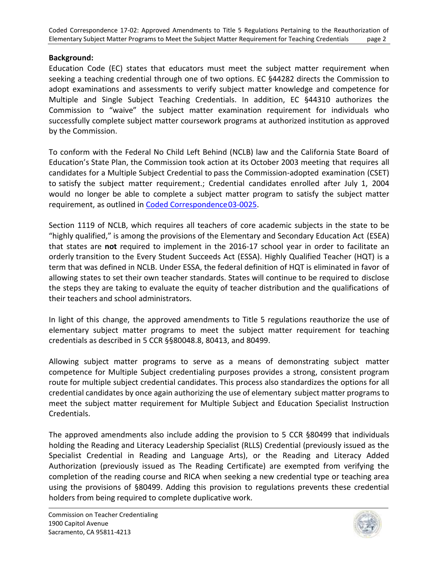### **Background:**

 Education Code (EC) states that educators must meet the subject matter requirement when seeking a teaching credential through one of two options. EC §44282 directs the Commission to adopt examinations and assessments to verify subject matter knowledge and competence for Commission to "waive" the subject matter examination requirement for individuals who successfully complete subject matter coursework programs at authorized institution as approved Multiple and Single Subject Teaching Credentials. In addition, EC §44310 authorizes the by the Commission.

 To conform with the Federal No Child Left Behind (NCLB) law and the California State Board of Education's State Plan, the Commission took action at its October 2003 meeting that requires all candidates for a Multiple Subject Credential to pass the Commission-adopted examination (CSET) to satisfy the subject matter requirement.; Credential candidates enrolled after July 1, 2004 would no longer be able to complete a subject matter program to satisfy the subject matter requirement, as outlined in **Coded Correspondence03-0025**.

 Section 1119 of NCLB, which requires all teachers of core academic subjects in the state to be "highly qualified," is among the provisions of the Elementary and Secondary Education Act (ESEA) that states are **not** required to implement in the 2016-17 school year in order to facilitate an orderly transition to the Every Student Succeeds Act (ESSA). Highly Qualified Teacher (HQT) is a term that was defined in NCLB. Under ESSA, the federal definition of HQT is eliminated in favor of allowing states to set their own teacher standards. States will continue to be required to disclose the steps they are taking to evaluate the equity of teacher distribution and the qualifications of their teachers and school administrators.

 In light of this change, the approved amendments to Title 5 regulations reauthorize the use of elementary subject matter programs to meet the subject matter requirement for teaching credentials as described in 5 CCR §§80048.8, 80413, and 80499.

 Allowing subject matter programs to serve as a means of demonstrating subject matter competence for Multiple Subject credentialing purposes provides a strong, consistent program route for multiple subject credential candidates. This process also standardizes the options for all credential candidates by once again authorizing the use of elementary subject matter programs to meet the subject matter requirement for Multiple Subject and Education Specialist Instruction Credentials.

 The approved amendments also include adding the provision to 5 CCR §80499 that individuals holding the Reading and Literacy Leadership Specialist (RLLS) Credential (previously issued as the Specialist Credential in Reading and Language Arts), or the Reading and Literacy Added Authorization (previously issued as The Reading Certificate) are exempted from verifying the completion of the reading course and RICA when seeking a new credential type or teaching area using the provisions of §80499. Adding this provision to regulations prevents these credential holders from being required to complete duplicative work.

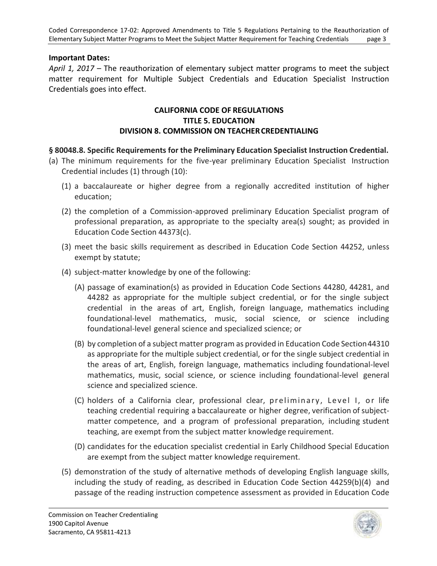### **Important Dates:**

 *April 1, 2017* – The reauthorization of elementary subject matter programs to meet the subject matter requirement for Multiple Subject Credentials and Education Specialist Instruction Credentials goes into effect.

#### **CALIFORNIA CODE OF REGULATIONS TITLE 5. EDUCATION DIVISION 8. COMMISSION ON TEACHER CREDENTIALING**

## **§ 80048.8. Specific Requirements for the Preliminary Education Specialist Instruction Credential.**

- (a) The minimum requirements for the five-year preliminary Education Specialist Instruction Credential includes (1) through (10):
	- (1) a baccalaureate or higher degree from a regionally accredited institution of higher education;
	- (2) the completion of a Commission-approved preliminary Education Specialist program of professional preparation, as appropriate to the specialty area(s) sought; as provided in Education Code Section 44373(c).
	- (3) meet the basic skills requirement as described in Education Code Section 44252, unless exempt by statute;
	- (4) subject-matter knowledge by one of the following:
		- (A) passage of examination(s) as provided in Education Code Sections 44280, 44281, and credential in the areas of art, English, foreign language, mathematics including foundational-level mathematics, music, social science, or science including foundational-level general science and specialized science; or 44282 as appropriate for the multiple subject credential, or for the single subject
		- (B) by completion of a subject matter program as provided in Education Code Section44310 as appropriate for the multiple subject credential, or for the single subject credential in mathematics, music, social science, or science including foundational-level general science and specialized science. the areas of art, English, foreign language, mathematics including foundational-level
		- (C) holders of a California clear, professional clear, preliminary, Level I, or life teaching credential requiring a baccalaureate or higher degree, verification of subject- matter competence, and a program of professional preparation, including student teaching, are exempt from the subject matter knowledge requirement.
		- (D) candidates for the education specialist credential in Early Childhood Special Education are exempt from the subject matter knowledge requirement.
	- (5) demonstration of the study of alternative methods of developing English language skills, including the study of reading, as described in Education Code Section 44259(b)(4) and passage of the reading instruction competence assessment as provided in Education Code

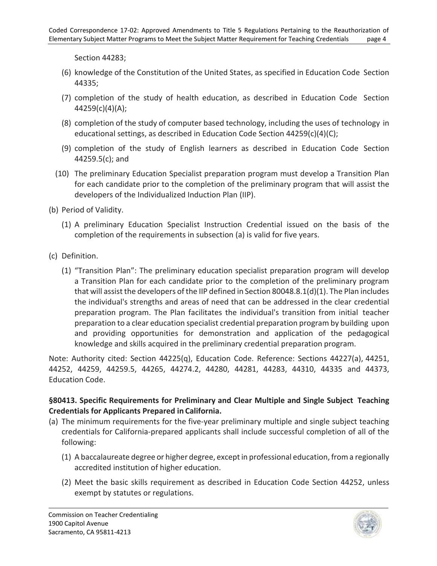Section 44283;

- (6) knowledge of the Constitution of the United States, as specified in Education Code Section 44335;
- (7) completion of the study of health education, as described in Education Code Section 44259(c)(4)(A);
- (8) completion of the study of computer based technology, including the uses of technology in educational settings, as described in Education Code Section 44259(c)(4)(C);
- (9) completion of the study of English learners as described in Education Code Section 44259.5(c); and
- (10) The preliminary Education Specialist preparation program must develop a Transition Plan for each candidate prior to the completion of the preliminary program that will assist the developers of the Individualized Induction Plan (IIP).

(b) Period of Validity.

- (1) A preliminary Education Specialist Instruction Credential issued on the basis of the completion of the requirements in subsection (a) is valid for five years.
- (c) Definition.
	- (1) "Transition Plan": The preliminary education specialist preparation program will develop a Transition Plan for each candidate prior to the completion of the preliminary program that will assist the developers of the IIP defined in Section 80048.8.1(d)(1). The Plan includes the individual's strengths and areas of need that can be addressed in the clear credential preparation program. The Plan facilitates the individual's transition from initial teacher preparation to a clear education specialist credential preparation program by building upon and providing opportunities for demonstration and application of the pedagogical knowledge and skills acquired in the preliminary credential preparation program.

 Note: Authority cited: Section 44225(q), Education Code. Reference: Sections 44227(a), 44251, 44252, 44259, 44259.5, 44265, 44274.2, 44280, 44281, 44283, 44310, 44335 and 44373, Education Code.

## **§80413. Specific Requirements for Preliminary and Clear Multiple and Single Subject Teaching Credentials for Applicants Prepared in California.**

- (a) The minimum requirements for the five-year preliminary multiple and single subject teaching credentials for California-prepared applicants shall include successful completion of all of the following:
	- (1) A baccalaureate degree or higher degree, except in professional education, from a regionally accredited institution of higher education.
	- (2) Meet the basic skills requirement as described in Education Code Section 44252, unless exempt by statutes or regulations.

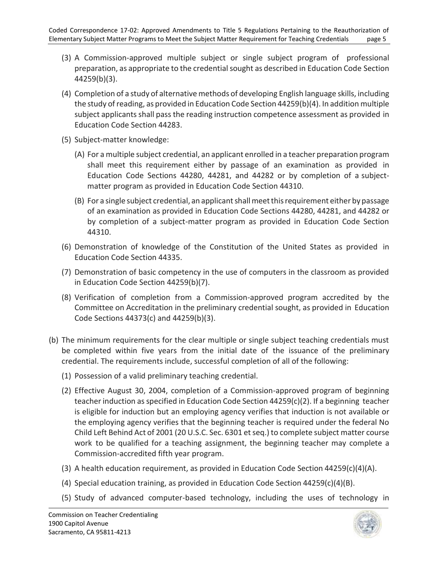- (3) A Commission-approved multiple subject or single subject program of professional preparation, as appropriate to the credential sought as described in Education Code Section 44259(b)(3).
- (4) Completion of a study of alternative methods of developing English language skills, including the study of reading, as provided in Education Code Section 44259(b)(4). In addition multiple subject applicants shall pass the reading instruction competence assessment as provided in Education Code Section 44283.
- (5) Subject-matter knowledge:
	- (A) For a multiple subject credential, an applicant enrolled in a teacher preparation program shall meet this requirement either by passage of an examination as provided in Education Code Sections 44280, 44281, and 44282 or by completion of a subject-matter program as provided in Education Code Section 44310.
	- (B) For a single subject credential, an applicant shall meet this requirement either by passage of an examination as provided in Education Code Sections 44280, 44281, and 44282 or by completion of a subject-matter program as provided in Education Code Section 44310.
- (6) Demonstration of knowledge of the Constitution of the United States as provided in Education Code Section 44335.
- (7) Demonstration of basic competency in the use of computers in the classroom as provided in Education Code Section 44259(b)(7).
- (8) Verification of completion from a Commission-approved program accredited by the Committee on Accreditation in the preliminary credential sought, as provided in Education Code Sections 44373(c) and 44259(b)(3).
- (b) The minimum requirements for the clear multiple or single subject teaching credentials must be completed within five years from the initial date of the issuance of the preliminary credential. The requirements include, successful completion of all of the following:
	- (1) Possession of a valid preliminary teaching credential.
	- (2) Effective August 30, 2004, completion of a Commission-approved program of beginning teacher induction as specified in Education Code Section 44259(c)(2). If a beginning teacher is eligible for induction but an employing agency verifies that induction is not available or the employing agency verifies that the beginning teacher is required under the federal No Child Left Behind Act of 2001 (20 U.S.C. Sec. 6301 et seq.) to complete subject matter course work to be qualified for a teaching assignment, the beginning teacher may complete a Commission-accredited fifth year program.
	- (3) A health education requirement, as provided in Education Code Section 44259(c)(4)(A).
	- (4) Special education training, as provided in Education Code Section 44259(c)(4)(B).
	- (5) Study of advanced computer-based technology, including the uses of technology in

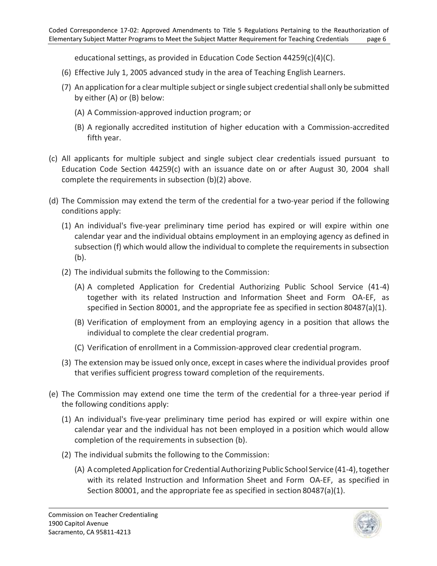educational settings, as provided in Education Code Section 44259(c)(4)(C).

- (6) Effective July 1, 2005 advanced study in the area of Teaching English Learners.
- (7) An application for a clear multiple subject or single subject credential shall only be submitted by either (A) or (B) below:
	- (A) A Commission-approved induction program; or
	- (B) A regionally accredited institution of higher education with a Commission-accredited fifth year.
- (c) All applicants for multiple subject and single subject clear credentials issued pursuant to Education Code Section 44259(c) with an issuance date on or after August 30, 2004 shall complete the requirements in subsection (b)(2) above.
- (d) The Commission may extend the term of the credential for a two-year period if the following conditions apply:
	- (1) An individual's five-year preliminary time period has expired or will expire within one calendar year and the individual obtains employment in an employing agency as defined in subsection (f) which would allow the individual to complete the requirements in subsection (b).
	- (2) The individual submits the following to the Commission:
		- (A) A completed Application for Credential Authorizing Public School Service (41-4) together with its related Instruction and Information Sheet and Form OA-EF, as specified in Section 80001, and the appropriate fee as specified in section 80487(a)(1).
		- (B) Verification of employment from an employing agency in a position that allows the individual to complete the clear credential program.
		- (C) Verification of enrollment in a Commission-approved clear credential program.
	- (3) The extension may be issued only once, except in cases where the individual provides proof that verifies sufficient progress toward completion of the requirements.
- (e) The Commission may extend one time the term of the credential for a three-year period if the following conditions apply:
	- (1) An individual's five-year preliminary time period has expired or will expire within one calendar year and the individual has not been employed in a position which would allow completion of the requirements in subsection (b).
	- (2) The individual submits the following to the Commission:
		- (A) A completed Application for Credential Authorizing Public School Service (41-4), together with its related Instruction and Information Sheet and Form OA-EF, as specified in Section 80001, and the appropriate fee as specified in section 80487(a)(1).

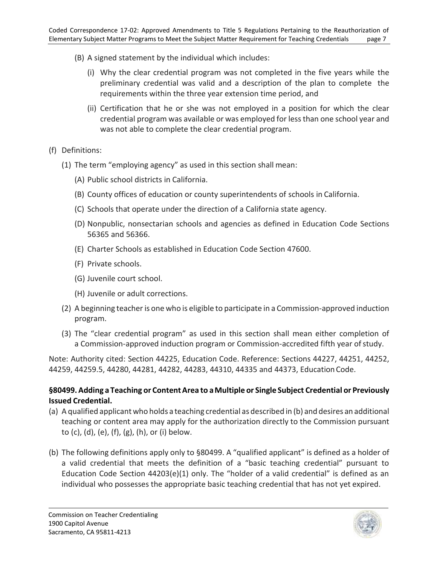- (B) A signed statement by the individual which includes:
	- (i) Why the clear credential program was not completed in the five years while the preliminary credential was valid and a description of the plan to complete the requirements within the three year extension time period, and
	- (ii) Certification that he or she was not employed in a position for which the clear credential program was available or was employed for less than one school year and was not able to complete the clear credential program.

## (f) Definitions:

- (1) The term "employing agency" as used in this section shall mean:
	- (A) Public school districts in California.
	- (B) County offices of education or county superintendents of schools in California.
	- (C) Schools that operate under the direction of a California state agency.
	- (D) Nonpublic, nonsectarian schools and agencies as defined in Education Code Sections 56365 and 56366.
	- (E) Charter Schools as established in Education Code Section 47600.
	- (F) Private schools.
	- (G) Juvenile court school.
	- (H) Juvenile or adult corrections.
- (2) A beginning teacher is one who is eligible to participate in a Commission-approved induction program.
- (3) The "clear credential program" as used in this section shall mean either completion of a Commission-approved induction program or Commission-accredited fifth year of study.

 Note: Authority cited: Section 44225, Education Code. Reference: Sections 44227, 44251, 44252, 44259, 44259.5, 44280, 44281, 44282, 44283, 44310, 44335 and 44373, Education Code.

## **§80499. Adding a Teaching or Content Area to a Multiple or Single Subject Credential or Previously Issued Credential.**

- (a) A qualified applicant who holds a teaching credential as described in (b) and desires an additional teaching or content area may apply for the authorization directly to the Commission pursuant to (c), (d), (e), (f), (g), (h), or (i) below.
- (b) The following definitions apply only to §80499. A "qualified applicant" is defined as a holder of a valid credential that meets the definition of a "basic teaching credential" pursuant to Education Code Section 44203(e)(1) only. The "holder of a valid credential" is defined as an individual who possesses the appropriate basic teaching credential that has not yet expired.

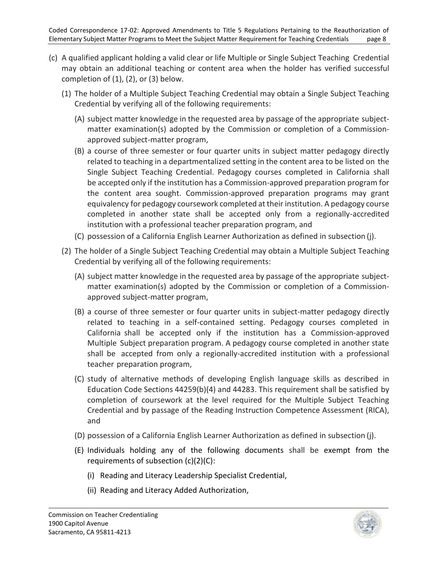- (c) A qualified applicant holding a valid clear or life Multiple or Single Subject Teaching Credential may obtain an additional teaching or content area when the holder has verified successful completion of (1), (2), or (3) below.
	- (1) The holder of a Multiple Subject Teaching Credential may obtain a Single Subject Teaching Credential by verifying all of the following requirements:
		- (A) subject matter knowledge in the requested area by passage of the appropriate subject- matter examination(s) adopted by the Commission or completion of a Commissionapproved subject-matter program,
		- (B) a course of three semester or four quarter units in subject matter pedagogy directly related to teaching in a departmentalized setting in the content area to be listed on the Single Subject Teaching Credential. Pedagogy courses completed in California shall be accepted only if the institution has a Commission-approved preparation program for the content area sought. Commission-approved preparation programs may grant equivalency for pedagogy coursework completed at their institution. A pedagogy course completed in another state shall be accepted only from a regionally-accredited institution with a professional teacher preparation program, and
		- (C) possession of a California English Learner Authorization as defined in subsection (j).
	- (2) The holder of a Single Subject Teaching Credential may obtain a Multiple Subject Teaching Credential by verifying all of the following requirements:
		- (A) subject matter knowledge in the requested area by passage of the appropriate subject- matter examination(s) adopted by the Commission or completion of a Commissionapproved subject-matter program,
		- (B) a course of three semester or four quarter units in subject-matter pedagogy directly related to teaching in a self-contained setting. Pedagogy courses completed in California shall be accepted only if the institution has a Commission-approved Multiple Subject preparation program. A pedagogy course completed in another state shall be accepted from only a regionally-accredited institution with a professional teacher preparation program,
		- (C) study of alternative methods of developing English language skills as described in Education Code Sections 44259(b)(4) and 44283. This requirement shall be satisfied by completion of coursework at the level required for the Multiple Subject Teaching Credential and by passage of the Reading Instruction Competence Assessment (RICA), and
		- (D) possession of a California English Learner Authorization as defined in subsection (j).
		- (E) Individuals holding any of the following documents shall be exempt from the requirements of subsection (c)(2)(C):
			- (i) Reading and Literacy Leadership Specialist Credential,
			- (ii) Reading and Literacy Added Authorization,

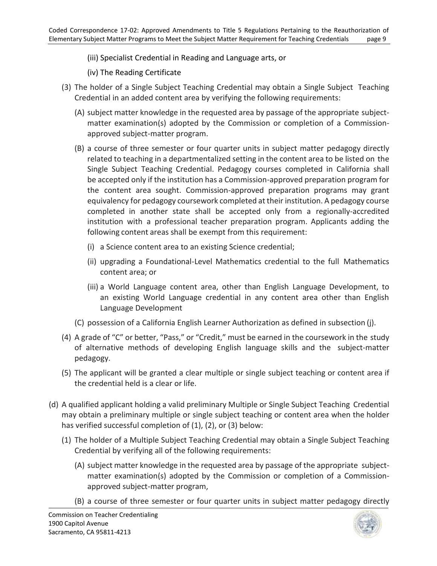- (iii) Specialist Credential in Reading and Language arts, or
- (iv) The Reading Certificate
- Credential in an added content area by verifying the following requirements: (3) The holder of a Single Subject Teaching Credential may obtain a Single Subject Teaching
	- (A) subject matter knowledge in the requested area by passage of the appropriate subject- matter examination(s) adopted by the Commission or completion of a Commissionapproved subject-matter program.
	- (B) a course of three semester or four quarter units in subject matter pedagogy directly related to teaching in a departmentalized setting in the content area to be listed on the Single Subject Teaching Credential. Pedagogy courses completed in California shall be accepted only if the institution has a Commission-approved preparation program for the content area sought. Commission-approved preparation programs may grant equivalency for pedagogy coursework completed at their institution. A pedagogy course completed in another state shall be accepted only from a regionally-accredited institution with a professional teacher preparation program. Applicants adding the following content areas shall be exempt from this requirement:
		- (i) a Science content area to an existing Science credential;
		- (ii) upgrading a Foundational-Level Mathematics credential to the full Mathematics content area; or
		- (iii) a World Language content area, other than English Language Development, to an existing World Language credential in any content area other than English Language Development
	- (C) possession of a California English Learner Authorization as defined in subsection (j).
- (4) A grade of "C" or better, "Pass," or "Credit," must be earned in the coursework in the study of alternative methods of developing English language skills and the subject-matter pedagogy.
- (5) The applicant will be granted a clear multiple or single subject teaching or content area if the credential held is a clear or life.
- (d) A qualified applicant holding a valid preliminary Multiple or Single Subject Teaching Credential may obtain a preliminary multiple or single subject teaching or content area when the holder has verified successful completion of (1), (2), or (3) below:
	- (1) The holder of a Multiple Subject Teaching Credential may obtain a Single Subject Teaching Credential by verifying all of the following requirements:
		- (A) subject matter knowledge in the requested area by passage of the appropriate subject- matter examination(s) adopted by the Commission or completion of a Commissionapproved subject-matter program,
		- (B) a course of three semester or four quarter units in subject matter pedagogy directly

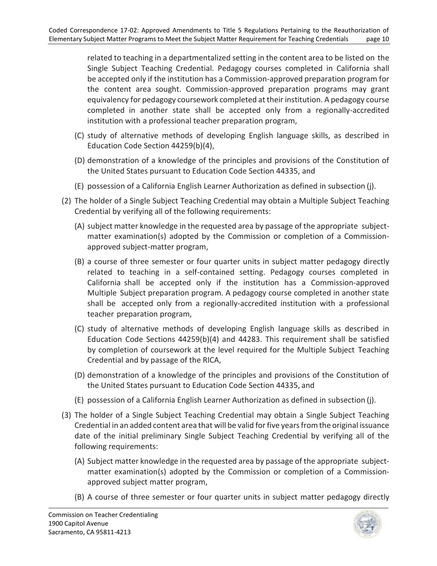related to teaching in a departmentalized setting in the content area to be listed on the Single Subject Teaching Credential. Pedagogy courses completed in California shall be accepted only if the institution has a Commission-approved preparation program for the content area sought. Commission-approved preparation programs may grant equivalency for pedagogy coursework completed at their institution. A pedagogy course completed in another state shall be accepted only from a regionally-accredited institution with a professional teacher preparation program,

- (C) study of alternative methods of developing English language skills, as described in Education Code Section 44259(b)(4),
- (D) demonstration of a knowledge of the principles and provisions of the Constitution of the United States pursuant to Education Code Section 44335, and
- (E) possession of a California English Learner Authorization as defined in subsection (j).
- (2) The holder of a Single Subject Teaching Credential may obtain a Multiple Subject Teaching Credential by verifying all of the following requirements:
	- (A) subject matter knowledge in the requested area by passage of the appropriate subject- matter examination(s) adopted by the Commission or completion of a Commissionapproved subject-matter program,
	- (B) a course of three semester or four quarter units in subject matter pedagogy directly related to teaching in a self-contained setting. Pedagogy courses completed in California shall be accepted only if the institution has a Commission-approved Multiple Subject preparation program. A pedagogy course completed in another state shall be accepted only from a regionally-accredited institution with a professional teacher preparation program,
	- (C) study of alternative methods of developing English language skills as described in Education Code Sections 44259(b)(4) and 44283. This requirement shall be satisfied by completion of coursework at the level required for the Multiple Subject Teaching Credential and by passage of the RICA,
	- (D) demonstration of a knowledge of the principles and provisions of the Constitution of the United States pursuant to Education Code Section 44335, and
	- (E) possession of a California English Learner Authorization as defined in subsection (j).
- (3) The holder of a Single Subject Teaching Credential may obtain a Single Subject Teaching Credential in an added content area that will be valid for five years from the original issuance date of the initial preliminary Single Subject Teaching Credential by verifying all of the following requirements:
	- (A) Subject matter knowledge in the requested area by passage of the appropriate subject- matter examination(s) adopted by the Commission or completion of a Commission-approved subject matter program,
	- (B) A course of three semester or four quarter units in subject matter pedagogy directly

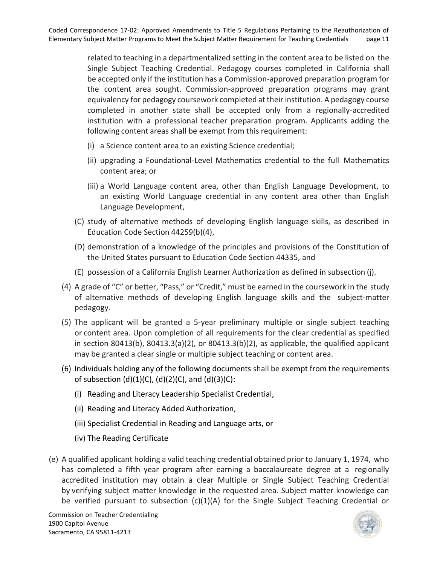related to teaching in a departmentalized setting in the content area to be listed on the Single Subject Teaching Credential. Pedagogy courses completed in California shall be accepted only if the institution has a Commission-approved preparation program for the content area sought. Commission-approved preparation programs may grant equivalency for pedagogy coursework completed at their institution. A pedagogy course completed in another state shall be accepted only from a regionally-accredited institution with a professional teacher preparation program. Applicants adding the following content areas shall be exempt from this requirement:

- (i) a Science content area to an existing Science credential;
- (ii) upgrading a Foundational-Level Mathematics credential to the full Mathematics content area; or
- (iii) a World Language content area, other than English Language Development, to an existing World Language credential in any content area other than English Language Development,
- (C) study of alternative methods of developing English language skills, as described in Education Code Section 44259(b)(4),
- (D) demonstration of a knowledge of the principles and provisions of the Constitution of the United States pursuant to Education Code Section 44335, and
- (E) possession of a California English Learner Authorization as defined in subsection (j).
- (4) A grade of "C" or better, "Pass," or "Credit," must be earned in the coursework in the study of alternative methods of developing English language skills and the subject-matter pedagogy.
- (5) The applicant will be granted a 5-year preliminary multiple or single subject teaching or content area. Upon completion of all requirements for the clear credential as specified in section 80413(b), 80413.3(a)(2), or 80413.3(b)(2), as applicable, the qualified applicant may be granted a clear single or multiple subject teaching or content area.
- (6) Individuals holding any of the following documents shall be exempt from the requirements of subsection (d)(1)(C), (d)(2)(C), and (d)(3)(C):
	- (i) Reading and Literacy Leadership Specialist Credential,
	- (ii) Reading and Literacy Added Authorization,
	- (iii) Specialist Credential in Reading and Language arts, or
	- (iv) The Reading Certificate
- (e) A qualified applicant holding a valid teaching credential obtained prior to January 1, 1974, who has completed a fifth year program after earning a baccalaureate degree at a regionally accredited institution may obtain a clear Multiple or Single Subject Teaching Credential by verifying subject matter knowledge in the requested area. Subject matter knowledge can be verified pursuant to subsection (c)(1)(A) for the Single Subject Teaching Credential or

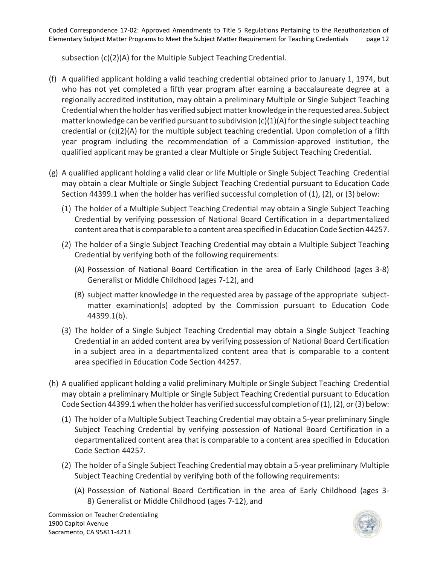subsection (c)(2)(A) for the Multiple Subject Teaching Credential.

- (f) A qualified applicant holding a valid teaching credential obtained prior to January 1, 1974, but who has not yet completed a fifth year program after earning a baccalaureate degree at a regionally accredited institution, may obtain a preliminary Multiple or Single Subject Teaching Credential when the holder has verified subject matter knowledge in the requested area. Subject matter knowledge can be verified pursuant to subdivision (c)(1)(A) for the single subject teaching credential or (c)(2)(A) for the multiple subject teaching credential. Upon completion of a fifth year program including the recommendation of a Commission-approved institution, the qualified applicant may be granted a clear Multiple or Single Subject Teaching Credential.
- (g) A qualified applicant holding a valid clear or life Multiple or Single Subject Teaching Credential may obtain a clear Multiple or Single Subject Teaching Credential pursuant to Education Code Section 44399.1 when the holder has verified successful completion of (1), (2), or (3) below:
	- (1) The holder of a Multiple Subject Teaching Credential may obtain a Single Subject Teaching Credential by verifying possession of National Board Certification in a departmentalized content area that is comparable to a content area specified in Education Code Section 44257.
	- (2) The holder of a Single Subject Teaching Credential may obtain a Multiple Subject Teaching Credential by verifying both of the following requirements:
		- (A) Possession of National Board Certification in the area of Early Childhood (ages 3-8) Generalist or Middle Childhood (ages 7-12), and
		- (B) subject matter knowledge in the requested area by passage of the appropriate subject- matter examination(s) adopted by the Commission pursuant to Education Code 44399.1(b).
	- (3) The holder of a Single Subject Teaching Credential may obtain a Single Subject Teaching Credential in an added content area by verifying possession of National Board Certification in a subject area in a departmentalized content area that is comparable to a content area specified in Education Code Section 44257.
- (h) A qualified applicant holding a valid preliminary Multiple or Single Subject Teaching Credential may obtain a preliminary Multiple or Single Subject Teaching Credential pursuant to Education Code Section 44399.1 when the holder has verified successful completion of (1), (2), or (3) below:
	- Subject Teaching Credential by verifying possession of National Board Certification in a departmentalized content area that is comparable to a content area specified in Education (1) The holder of a Multiple Subject Teaching Credential may obtain a 5-year preliminary Single Code Section 44257.
	- (2) The holder of a Single Subject Teaching Credential may obtain a 5-year preliminary Multiple Subject Teaching Credential by verifying both of the following requirements:
		- (A) Possession of National Board Certification in the area of Early Childhood (ages 3- 8) Generalist or Middle Childhood (ages 7-12), and

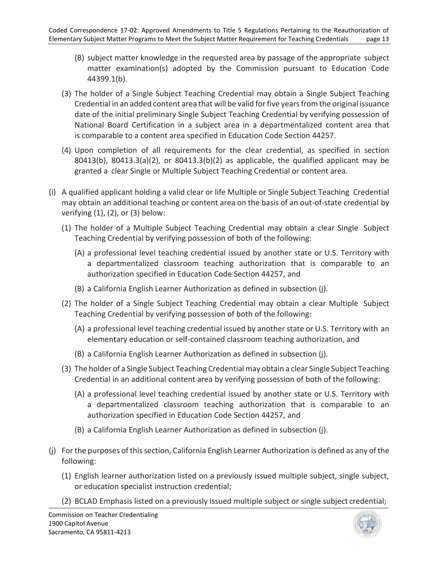- (B) subject matter knowledge in the requested area by passage of the appropriate subject matter examination(s) adopted by the Commission pursuant to Education Code 44399.1(b).
- (3) The holder of a Single Subject Teaching Credential may obtain a Single Subject Teaching Credential in an added content area that will be valid for five years from the original issuance date of the initial preliminary Single Subject Teaching Credential by verifying possession of National Board Certification in a subject area in a departmentalized content area that is comparable to a content area specified in Education Code Section 44257.
- (4) Upon completion of all requirements for the clear credential, as specified in section 80413(b), 80413.3(a)(2), or 80413.3(b)(2) as applicable, the qualified applicant may be granted a clear Single or Multiple Subject Teaching Credential or content area.
- (i) A qualified applicant holding a valid clear or life Multiple or Single Subject Teaching Credential may obtain an additional teaching or content area on the basis of an out-of-state credential by verifying (1), (2), or (3) below:
	- Teaching Credential by verifying possession of both of the following: (1) The holder of a Multiple Subject Teaching Credential may obtain a clear Single Subject
		- (A) a professional level teaching credential issued by another state or U.S. Territory with a departmentalized classroom teaching authorization that is comparable to an authorization specified in Education Code Section 44257, and
		- (B) a California English Learner Authorization as defined in subsection (j).
	- Teaching Credential by verifying possession of both of the following: (2) The holder of a Single Subject Teaching Credential may obtain a clear Multiple Subject
		- (A) a professional level teaching credential issued by another state or U.S. Territory with an elementary education or self-contained classroom teaching authorization, and
		- (B) a California English Learner Authorization as defined in subsection (j).
	- (3) The holder of a Single Subject Teaching Credential may obtain a clear Single Subject Teaching Credential in an additional content area by verifying possession of both of the following:
		- (A) a professional level teaching credential issued by another state or U.S. Territory with a departmentalized classroom teaching authorization that is comparable to an authorization specified in Education Code Section 44257, and
		- (B) a California English Learner Authorization as defined in subsection (j).
- (j) For the purposes of this section, California English Learner Authorization is defined as any of the following:
	- (1) English learner authorization listed on a previously issued multiple subject, single subject, or education specialist instruction credential;
	- (2) BCLAD Emphasis listed on a previously issued multiple subject or single subject credential;